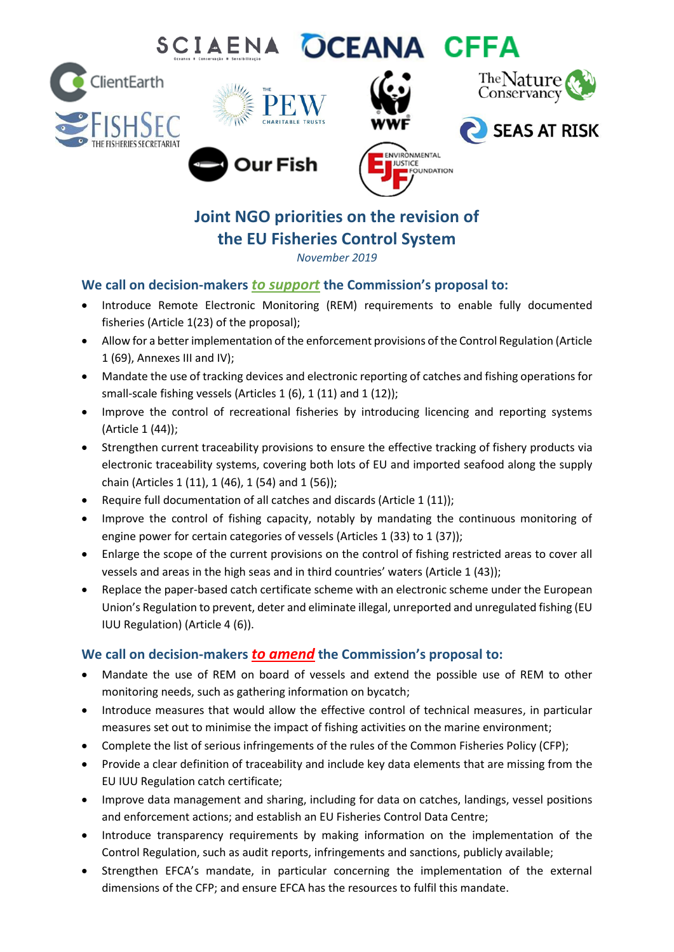# SCIAENA OCEANA CFFA





Our Fish







**Joint NGO priorities on the revision of the EU Fisheries Control System**

*November 2019*

### **We call on decision-makers** *to support* **the Commission's proposal to:**

- Introduce Remote Electronic Monitoring (REM) requirements to enable fully documented fisheries (Article 1(23) of the proposal);
- Allow for a better implementation of the enforcement provisions of the Control Regulation (Article 1 (69), Annexes III and IV);
- Mandate the use of tracking devices and electronic reporting of catches and fishing operations for small-scale fishing vessels (Articles 1 (6), 1 (11) and 1 (12));
- Improve the control of recreational fisheries by introducing licencing and reporting systems (Article 1 (44));
- Strengthen current traceability provisions to ensure the effective tracking of fishery products via electronic traceability systems, covering both lots of EU and imported seafood along the supply chain (Articles 1 (11), 1 (46), 1 (54) and 1 (56));
- Require full documentation of all catches and discards (Article 1 (11));
- Improve the control of fishing capacity, notably by mandating the continuous monitoring of engine power for certain categories of vessels (Articles 1 (33) to 1 (37));
- Enlarge the scope of the current provisions on the control of fishing restricted areas to cover all vessels and areas in the high seas and in third countries' waters (Article 1 (43));
- Replace the paper-based catch certificate scheme with an electronic scheme under the European Union's Regulation to prevent, deter and eliminate illegal, unreported and unregulated fishing (EU IUU Regulation) (Article 4 (6)).

## **We call on decision-makers** *to amend* **the Commission's proposal to:**

- Mandate the use of REM on board of vessels and extend the possible use of REM to other monitoring needs, such as gathering information on bycatch;
- Introduce measures that would allow the effective control of technical measures, in particular measures set out to minimise the impact of fishing activities on the marine environment;
- Complete the list of serious infringements of the rules of the Common Fisheries Policy (CFP);
- Provide a clear definition of traceability and include key data elements that are missing from the EU IUU Regulation catch certificate;
- Improve data management and sharing, including for data on catches, landings, vessel positions and enforcement actions; and establish an EU Fisheries Control Data Centre;
- Introduce transparency requirements by making information on the implementation of the Control Regulation, such as audit reports, infringements and sanctions, publicly available;
- Strengthen EFCA's mandate, in particular concerning the implementation of the external dimensions of the CFP; and ensure EFCA has the resources to fulfil this mandate.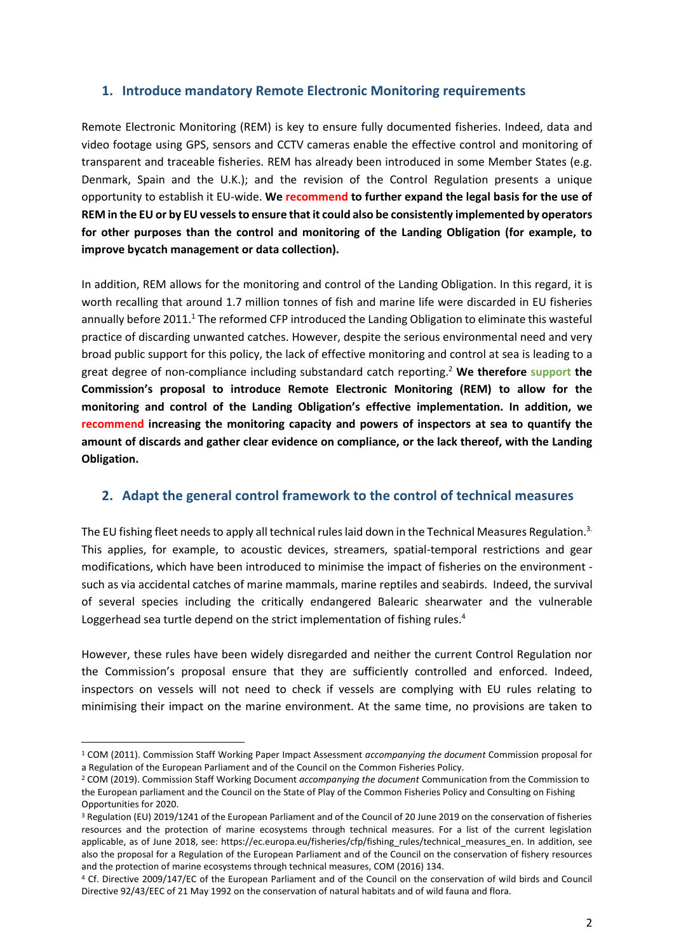#### **1. Introduce mandatory Remote Electronic Monitoring requirements**

Remote Electronic Monitoring (REM) is key to ensure fully documented fisheries. Indeed, data and video footage using GPS, sensors and CCTV cameras enable the effective control and monitoring of transparent and traceable fisheries. REM has already been introduced in some Member States (e.g. Denmark, Spain and the U.K.); and the revision of the Control Regulation presents a unique opportunity to establish it EU-wide. **We recommend to further expand the legal basis for the use of REM in the EU or by EU vessels to ensure that it could also be consistently implemented by operators for other purposes than the control and monitoring of the Landing Obligation (for example, to improve bycatch management or data collection).** 

In addition, REM allows for the monitoring and control of the Landing Obligation. In this regard, it is worth recalling that around 1.7 million tonnes of fish and marine life were discarded in EU fisheries annually before 2011.<sup>1</sup> The reformed CFP introduced the Landing Obligation to eliminate this wasteful practice of discarding unwanted catches. However, despite the serious environmental need and very broad public support for this policy, the lack of effective monitoring and control at sea is leading to a great degree of non-compliance including substandard catch reporting.<sup>2</sup> **We therefore support the Commission's proposal to introduce Remote Electronic Monitoring (REM) to allow for the monitoring and control of the Landing Obligation's effective implementation. In addition, we recommend increasing the monitoring capacity and powers of inspectors at sea to quantify the amount of discards and gather clear evidence on compliance, or the lack thereof, with the Landing Obligation.**

#### **2. Adapt the general control framework to the control of technical measures**

The EU fishing fleet needs to apply all technical rules laid down in the Technical Measures Regulation.<sup>3.</sup> This applies, for example, to acoustic devices, streamers, spatial-temporal restrictions and gear modifications, which have been introduced to minimise the impact of fisheries on the environment such as via accidental catches of marine mammals, marine reptiles and seabirds. Indeed, the survival of several species including the critically endangered Balearic shearwater and the vulnerable Loggerhead sea turtle depend on the strict implementation of fishing rules.<sup>4</sup>

However, these rules have been widely disregarded and neither the current Control Regulation nor the Commission's proposal ensure that they are sufficiently controlled and enforced. Indeed, inspectors on vessels will not need to check if vessels are complying with EU rules relating to minimising their impact on the marine environment. At the same time, no provisions are taken to

 $\overline{a}$ 

<sup>1</sup> COM (2011). Commission Staff Working Paper Impact Assessment *accompanying the document* Commission proposal for a Regulation of the European Parliament and of the Council on the Common Fisheries Policy.

<sup>2</sup> COM (2019). Commission Staff Working Document *accompanying the document* Communication from the Commission to the European parliament and the Council on the State of Play of the Common Fisheries Policy and Consulting on Fishing Opportunities for 2020.

<sup>3</sup> Regulation (EU) 2019/1241 of the European Parliament and of the Council of 20 June 2019 on the conservation of fisheries resources and the protection of marine ecosystems through technical measures. For a list of the current legislation applicable, as of June 2018, see: [https://ec.europa.eu/fisheries/cfp/fishing\\_rules/technical\\_measures\\_en.](https://ec.europa.eu/fisheries/cfp/fishing_rules/technical_measures_en) In addition, see also the proposal for a Regulation of the European Parliament and of the Council on the conservation of fishery resources and the protection of marine ecosystems through technical measures, COM (2016) 134.

<sup>4</sup> Cf. Directive 2009/147/EC of the European Parliament and of the Council on the conservation of wild birds and Council Directive 92/43/EEC of 21 May 1992 on the conservation of natural habitats and of wild fauna and flora.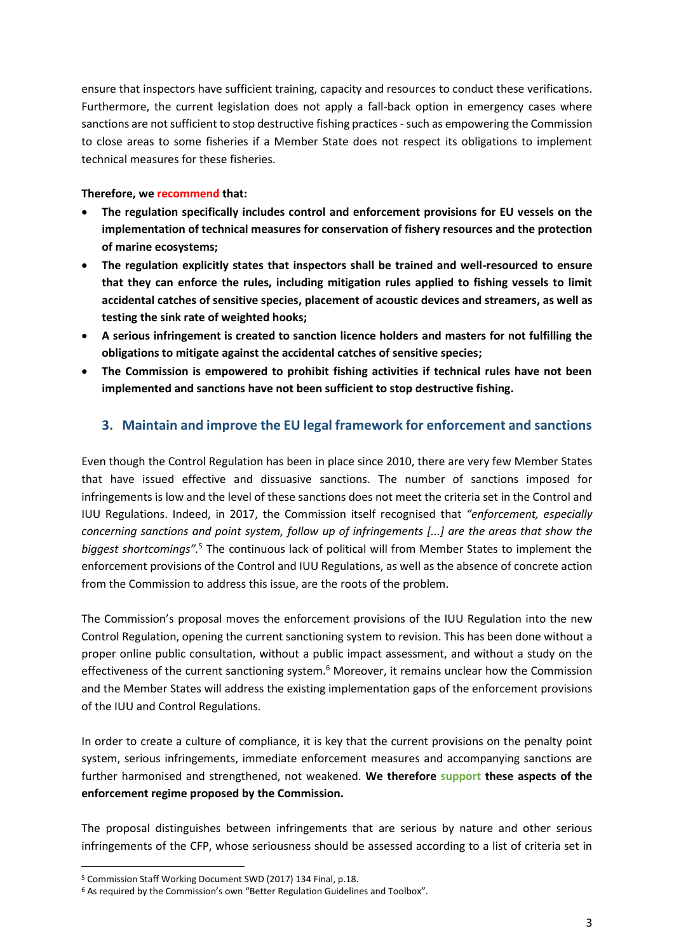ensure that inspectors have sufficient training, capacity and resources to conduct these verifications. Furthermore, the current legislation does not apply a fall-back option in emergency cases where sanctions are not sufficient to stop destructive fishing practices-such as empowering the Commission to close areas to some fisheries if a Member State does not respect its obligations to implement technical measures for these fisheries.

#### **Therefore, we recommend that:**

- **The regulation specifically includes control and enforcement provisions for EU vessels on the implementation of technical measures for conservation of fishery resources and the protection of marine ecosystems;**
- **The regulation explicitly states that inspectors shall be trained and well-resourced to ensure that they can enforce the rules, including mitigation rules applied to fishing vessels to limit accidental catches of sensitive species, placement of acoustic devices and streamers, as well as testing the sink rate of weighted hooks;**
- **A serious infringement is created to sanction licence holders and masters for not fulfilling the obligations to mitigate against the accidental catches of sensitive species;**
- **The Commission is empowered to prohibit fishing activities if technical rules have not been implemented and sanctions have not been sufficient to stop destructive fishing.**

#### **3. Maintain and improve the EU legal framework for enforcement and sanctions**

Even though the Control Regulation has been in place since 2010, there are very few Member States that have issued effective and dissuasive sanctions. The number of sanctions imposed for infringements is low and the level of these sanctions does not meet the criteria set in the Control and IUU Regulations. Indeed, in 2017, the Commission itself recognised that *"enforcement, especially concerning sanctions and point system, follow up of infringements [...] are the areas that show the biggest shortcomings".* <sup>5</sup> The continuous lack of political will from Member States to implement the enforcement provisions of the Control and IUU Regulations, as well as the absence of concrete action from the Commission to address this issue, are the roots of the problem.

The Commission's proposal moves the enforcement provisions of the IUU Regulation into the new Control Regulation, opening the current sanctioning system to revision. This has been done without a proper online public consultation, without a public impact assessment, and without a study on the effectiveness of the current sanctioning system.<sup>6</sup> Moreover, it remains unclear how the Commission and the Member States will address the existing implementation gaps of the enforcement provisions of the IUU and Control Regulations.

In order to create a culture of compliance, it is key that the current provisions on the penalty point system, serious infringements, immediate enforcement measures and accompanying sanctions are further harmonised and strengthened, not weakened. **We therefore support these aspects of the enforcement regime proposed by the Commission.** 

The proposal distinguishes between infringements that are serious by nature and other serious infringements of the CFP, whose seriousness should be assessed according to a list of criteria set in

 $\overline{a}$ 

<sup>5</sup> Commission Staff Working Document SWD (2017) 134 Final, p.18.

<sup>&</sup>lt;sup>6</sup> As required by the Commission's own "Better Regulation Guidelines and Toolbox".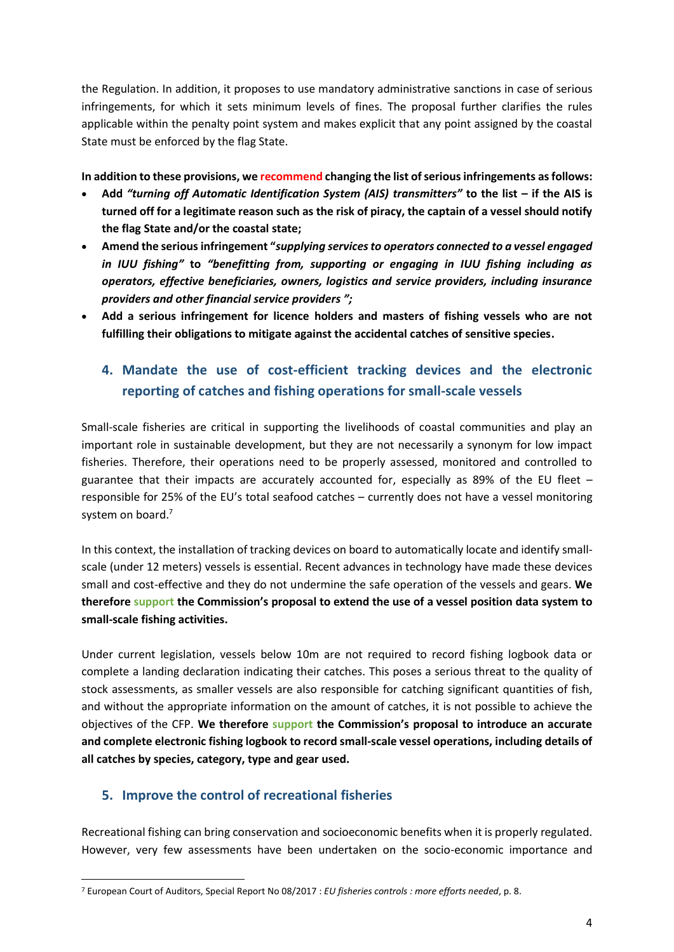the Regulation. In addition, it proposes to use mandatory administrative sanctions in case of serious infringements, for which it sets minimum levels of fines. The proposal further clarifies the rules applicable within the penalty point system and makes explicit that any point assigned by the coastal State must be enforced by the flag State.

**In addition to these provisions, we recommend changing the list of serious infringements as follows:**

- **Add** *"turning off Automatic Identification System (AIS) transmitters"* **to the list – if the AIS is turned off for a legitimate reason such as the risk of piracy, the captain of a vessel should notify the flag State and/or the coastal state;**
- **Amend the serious infringement "***supplying services to operators connected to a vessel engaged in IUU fishing"* **to** *"benefitting from, supporting or engaging in IUU fishing including as operators, effective beneficiaries, owners, logistics and service providers, including insurance providers and other financial service providers ";*
- **Add a serious infringement for licence holders and masters of fishing vessels who are not fulfilling their obligations to mitigate against the accidental catches of sensitive species.**

# **4. Mandate the use of cost-efficient tracking devices and the electronic reporting of catches and fishing operations for small-scale vessels**

Small-scale fisheries are critical in supporting the livelihoods of coastal communities and play an important role in sustainable development, but they are not necessarily a synonym for low impact fisheries. Therefore, their operations need to be properly assessed, monitored and controlled to guarantee that their impacts are accurately accounted for, especially as 89% of the EU fleet – responsible for 25% of the EU's total seafood catches – currently does not have a vessel monitoring system on board.<sup>7</sup>

In this context, the installation of tracking devices on board to automatically locate and identify smallscale (under 12 meters) vessels is essential. Recent advances in technology have made these devices small and cost-effective and they do not undermine the safe operation of the vessels and gears. **We therefore support the Commission's proposal to extend the use of a vessel position data system to small-scale fishing activities.**

Under current legislation, vessels below 10m are not required to record fishing logbook data or complete a landing declaration indicating their catches. This poses a serious threat to the quality of stock assessments, as smaller vessels are also responsible for catching significant quantities of fish, and without the appropriate information on the amount of catches, it is not possible to achieve the objectives of the CFP. **We therefore support the Commission's proposal to introduce an accurate and complete electronic fishing logbook to record small-scale vessel operations, including details of all catches by species, category, type and gear used.**

#### **5. Improve the control of recreational fisheries**

**.** 

Recreational fishing can bring conservation and socioeconomic benefits when it is properly regulated. However, very few assessments have been undertaken on the socio-economic importance and

<sup>7</sup> European Court of Auditors, Special Report No 08/2017 : *EU fisheries controls : more efforts needed*, p. 8.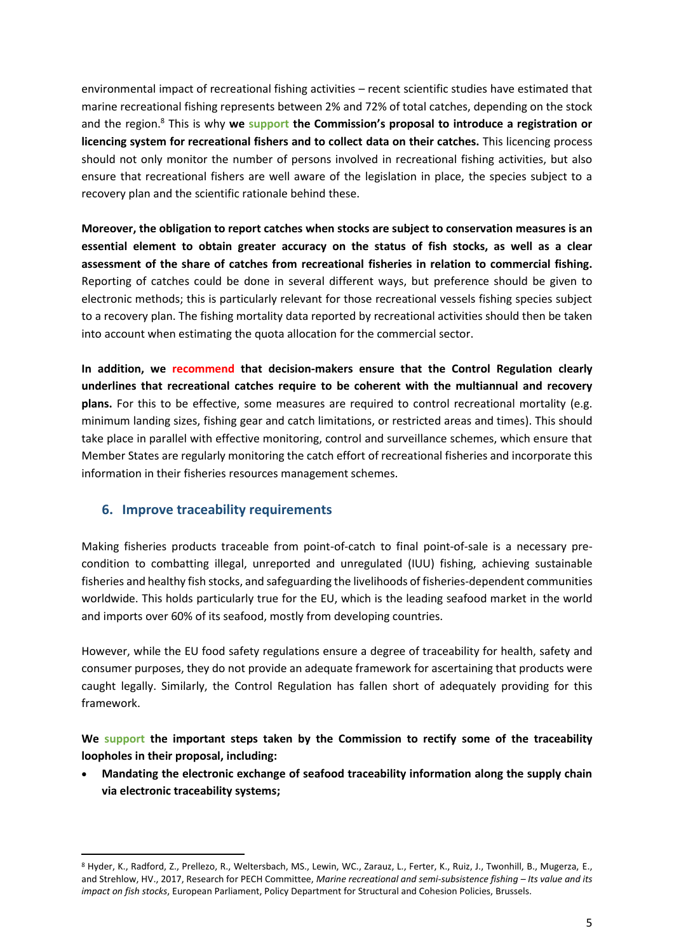environmental impact of recreational fishing activities – recent scientific studies have estimated that marine recreational fishing represents between 2% and 72% of total catches, depending on the stock and the region.<sup>8</sup> This is why **we support the Commission's proposal to introduce a registration or licencing system for recreational fishers and to collect data on their catches.** This licencing process should not only monitor the number of persons involved in recreational fishing activities, but also ensure that recreational fishers are well aware of the legislation in place, the species subject to a recovery plan and the scientific rationale behind these.

**Moreover, the obligation to report catches when stocks are subject to conservation measures is an essential element to obtain greater accuracy on the status of fish stocks, as well as a clear assessment of the share of catches from recreational fisheries in relation to commercial fishing.** Reporting of catches could be done in several different ways, but preference should be given to electronic methods; this is particularly relevant for those recreational vessels fishing species subject to a recovery plan. The fishing mortality data reported by recreational activities should then be taken into account when estimating the quota allocation for the commercial sector.

**In addition, we recommend that decision-makers ensure that the Control Regulation clearly underlines that recreational catches require to be coherent with the multiannual and recovery plans.** For this to be effective, some measures are required to control recreational mortality (e.g. minimum landing sizes, fishing gear and catch limitations, or restricted areas and times). This should take place in parallel with effective monitoring, control and surveillance schemes, which ensure that Member States are regularly monitoring the catch effort of recreational fisheries and incorporate this information in their fisheries resources management schemes.

#### **6. Improve traceability requirements**

1

Making fisheries products traceable from point-of-catch to final point-of-sale is a necessary precondition to combatting illegal, unreported and unregulated (IUU) fishing, achieving sustainable fisheries and healthy fish stocks, and safeguarding the livelihoods of fisheries-dependent communities worldwide. This holds particularly true for the EU, which is the leading seafood market in the world and imports over 60% of its seafood, mostly from developing countries.

However, while the EU food safety regulations ensure a degree of traceability for health, safety and consumer purposes, they do not provide an adequate framework for ascertaining that products were caught legally. Similarly, the Control Regulation has fallen short of adequately providing for this framework.

**We support the important steps taken by the Commission to rectify some of the traceability loopholes in their proposal, including:** 

 **Mandating the electronic exchange of seafood traceability information along the supply chain via electronic traceability systems;**

<sup>8</sup> Hyder, K., Radford, Z., Prellezo, R., Weltersbach, MS., Lewin, WC., Zarauz, L., Ferter, K., Ruiz, J., Twonhill, B., Mugerza, E., and Strehlow, HV., 2017, Research for PECH Committee, *Marine recreational and semi-subsistence fishing - Its value and its impact on fish stocks*, European Parliament, Policy Department for Structural and Cohesion Policies, Brussels.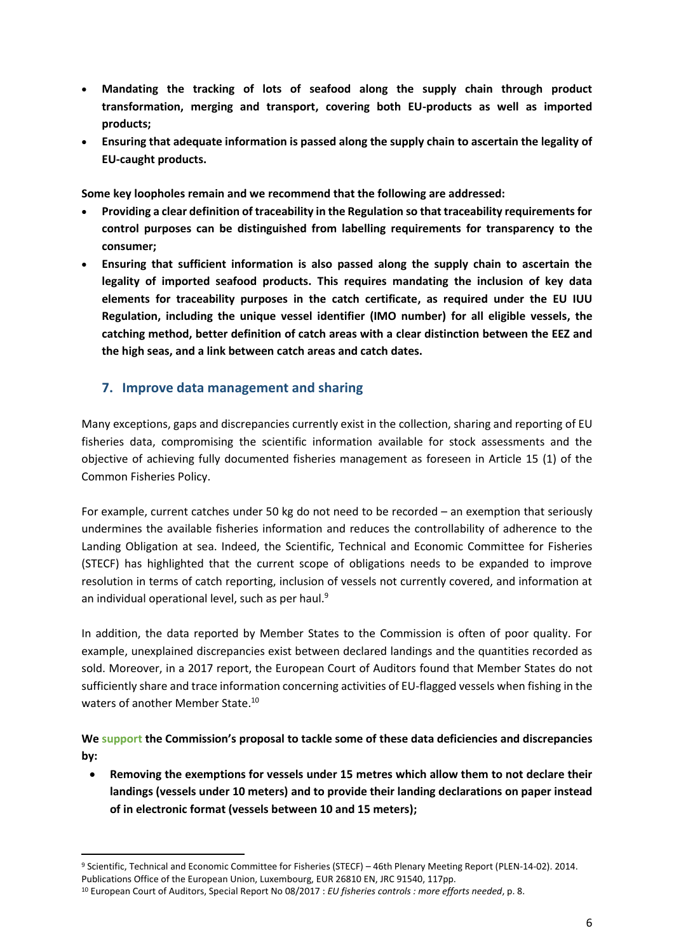- **Mandating the tracking of lots of seafood along the supply chain through product transformation, merging and transport, covering both EU-products as well as imported products;**
- **Ensuring that adequate information is passed along the supply chain to ascertain the legality of EU-caught products.**

**Some key loopholes remain and we recommend that the following are addressed:**

- **Providing a clear definition of traceability in the Regulation so that traceability requirements for control purposes can be distinguished from labelling requirements for transparency to the consumer;**
- **Ensuring that sufficient information is also passed along the supply chain to ascertain the legality of imported seafood products. This requires mandating the inclusion of key data elements for traceability purposes in the catch certificate, as required under the EU IUU Regulation, including the unique vessel identifier (IMO number) for all eligible vessels, the catching method, better definition of catch areas with a clear distinction between the EEZ and the high seas, and a link between catch areas and catch dates.**

#### **7. Improve data management and sharing**

Many exceptions, gaps and discrepancies currently exist in the collection, sharing and reporting of EU fisheries data, compromising the scientific information available for stock assessments and the objective of achieving fully documented fisheries management as foreseen in Article 15 (1) of the Common Fisheries Policy.

For example, current catches under 50 kg do not need to be recorded – an exemption that seriously undermines the available fisheries information and reduces the controllability of adherence to the Landing Obligation at sea. Indeed, the Scientific, Technical and Economic Committee for Fisheries (STECF) has highlighted that the current scope of obligations needs to be expanded to improve resolution in terms of catch reporting, inclusion of vessels not currently covered, and information at an individual operational level, such as per haul.<sup>9</sup>

In addition, the data reported by Member States to the Commission is often of poor quality. For example, unexplained discrepancies exist between declared landings and the quantities recorded as sold. Moreover, in a 2017 report, the European Court of Auditors found that Member States do not sufficiently share and trace information concerning activities of EU-flagged vessels when fishing in the waters of another Member State.<sup>10</sup>

**We support the Commission's proposal to tackle some of these data deficiencies and discrepancies by:**

 **Removing the exemptions for vessels under 15 metres which allow them to not declare their landings (vessels under 10 meters) and to provide their landing declarations on paper instead of in electronic format (vessels between 10 and 15 meters);**

1

<sup>9</sup> Scientific, Technical and Economic Committee for Fisheries (STECF) – 46th Plenary Meeting Report (PLEN-14-02). 2014. Publications Office of the European Union, Luxembourg, EUR 26810 EN, JRC 91540, 117pp.

<sup>10</sup> European Court of Auditors, Special Report No 08/2017 : *EU fisheries controls : more efforts needed*, p. 8.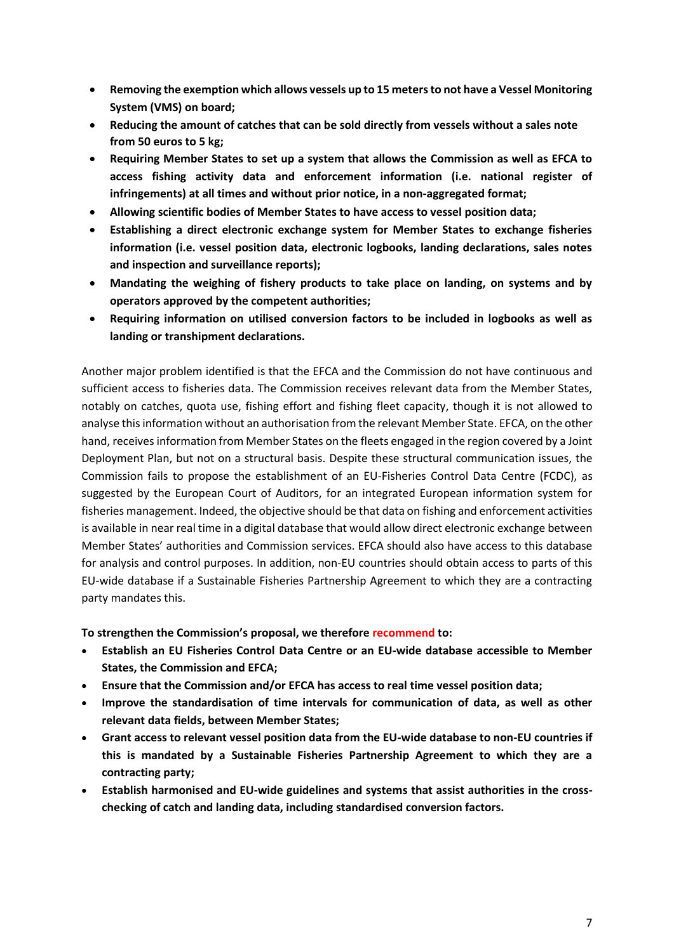- **Removing the exemption which allows vessels up to 15 meters to not have a Vessel Monitoring System (VMS) on board;**
- **Reducing the amount of catches that can be sold directly from vessels without a sales note from 50 euros to 5 kg;**
- **Requiring Member States to set up a system that allows the Commission as well as EFCA to access fishing activity data and enforcement information (i.e. national register of infringements) at all times and without prior notice, in a non-aggregated format;**
- **Allowing scientific bodies of Member States to have access to vessel position data;**
- **Establishing a direct electronic exchange system for Member States to exchange fisheries information (i.e. vessel position data, electronic logbooks, landing declarations, sales notes and inspection and surveillance reports);**
- **Mandating the weighing of fishery products to take place on landing, on systems and by operators approved by the competent authorities;**
- **Requiring information on utilised conversion factors to be included in logbooks as well as landing or transhipment declarations.**

Another major problem identified is that the EFCA and the Commission do not have continuous and sufficient access to fisheries data. The Commission receives relevant data from the Member States, notably on catches, quota use, fishing effort and fishing fleet capacity, though it is not allowed to analyse this information without an authorisation from the relevant Member State. EFCA, on the other hand, receives information from Member States on the fleets engaged in the region covered by a Joint Deployment Plan, but not on a structural basis. Despite these structural communication issues, the Commission fails to propose the establishment of an EU-Fisheries Control Data Centre (FCDC), as suggested by the European Court of Auditors, for an integrated European information system for fisheries management. Indeed, the objective should be that data on fishing and enforcement activities is available in near real time in a digital database that would allow direct electronic exchange between Member States' authorities and Commission services. EFCA should also have access to this database for analysis and control purposes. In addition, non-EU countries should obtain access to parts of this EU-wide database if a Sustainable Fisheries Partnership Agreement to which they are a contracting party mandates this.

**To strengthen the Commission's proposal, we therefore recommend to:**

- **Establish an EU Fisheries Control Data Centre or an EU-wide database accessible to Member States, the Commission and EFCA;**
- **Ensure that the Commission and/or EFCA has access to real time vessel position data;**
- **Improve the standardisation of time intervals for communication of data, as well as other relevant data fields, between Member States;**
- **Grant access to relevant vessel position data from the EU-wide database to non-EU countries if this is mandated by a Sustainable Fisheries Partnership Agreement to which they are a contracting party;**
- **Establish harmonised and EU-wide guidelines and systems that assist authorities in the crosschecking of catch and landing data, including standardised conversion factors.**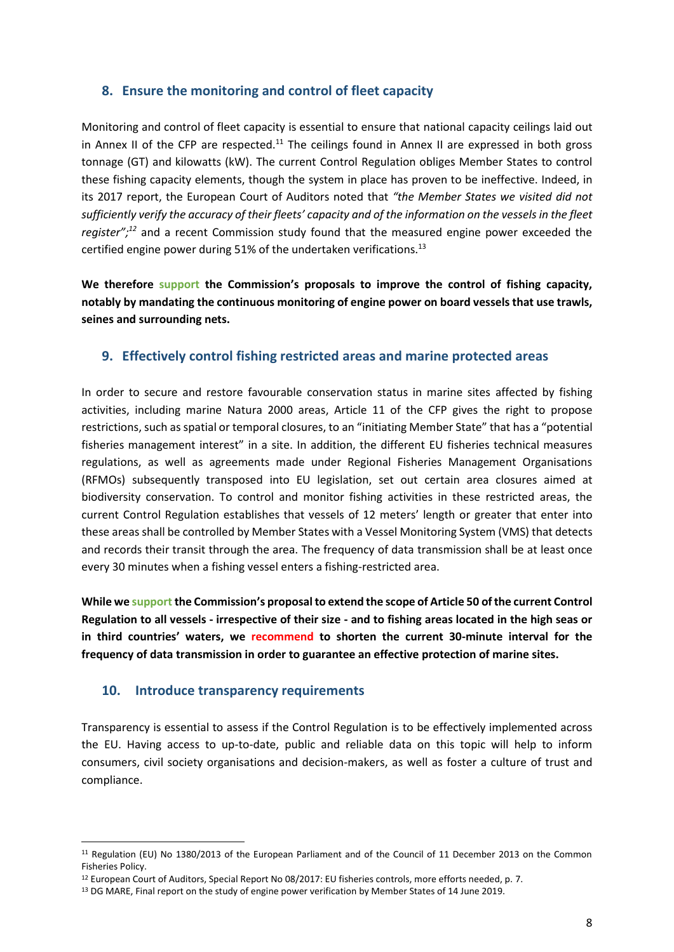#### **8. Ensure the monitoring and control of fleet capacity**

Monitoring and control of fleet capacity is essential to ensure that national capacity ceilings laid out in Annex II of the CFP are respected.<sup>11</sup> The ceilings found in Annex II are expressed in both gross tonnage (GT) and kilowatts (kW). The current Control Regulation obliges Member States to control these fishing capacity elements, though the system in place has proven to be ineffective. Indeed, in its 2017 report, the European Court of Auditors noted that *"the Member States we visited did not sufficiently verify the accuracy of their fleets' capacity and of the information on the vessels in the fleet register"; <sup>12</sup>* and a recent Commission study found that the measured engine power exceeded the certified engine power during 51% of the undertaken verifications.<sup>13</sup>

**We therefore support the Commission's proposals to improve the control of fishing capacity, notably by mandating the continuous monitoring of engine power on board vessels that use trawls, seines and surrounding nets.** 

#### **9. Effectively control fishing restricted areas and marine protected areas**

In order to secure and restore favourable conservation status in marine sites affected by fishing activities, including marine Natura 2000 areas, Article 11 of the CFP gives the right to propose restrictions, such as spatial or temporal closures, to an "initiating Member State" that has a "potential fisheries management interest" in a site. In addition, the different EU fisheries technical measures regulations, as well as agreements made under Regional Fisheries Management Organisations (RFMOs) subsequently transposed into EU legislation, set out certain area closures aimed at biodiversity conservation. To control and monitor fishing activities in these restricted areas, the current Control Regulation establishes that vessels of 12 meters' length or greater that enter into these areas shall be controlled by Member States with a Vessel Monitoring System (VMS) that detects and records their transit through the area. The frequency of data transmission shall be at least once every 30 minutes when a fishing vessel enters a fishing-restricted area.

**While we support the Commission's proposal to extend the scope of Article 50 of the current Control Regulation to all vessels - irrespective of their size - and to fishing areas located in the high seas or in third countries' waters, we recommend to shorten the current 30-minute interval for the frequency of data transmission in order to guarantee an effective protection of marine sites.**

#### **10. Introduce transparency requirements**

**.** 

Transparency is essential to assess if the Control Regulation is to be effectively implemented across the EU. Having access to up-to-date, public and reliable data on this topic will help to inform consumers, civil society organisations and decision-makers, as well as foster a culture of trust and compliance.

<sup>11</sup> Regulation (EU) No 1380/2013 of the European Parliament and of the Council of 11 December 2013 on the Common Fisheries Policy.

<sup>12</sup> European Court of Auditors, Special Report No 08/2017: EU fisheries controls, more efforts needed, p. 7.

<sup>&</sup>lt;sup>13</sup> DG MARE, Final report on the study of engine power verification by Member States of 14 June 2019.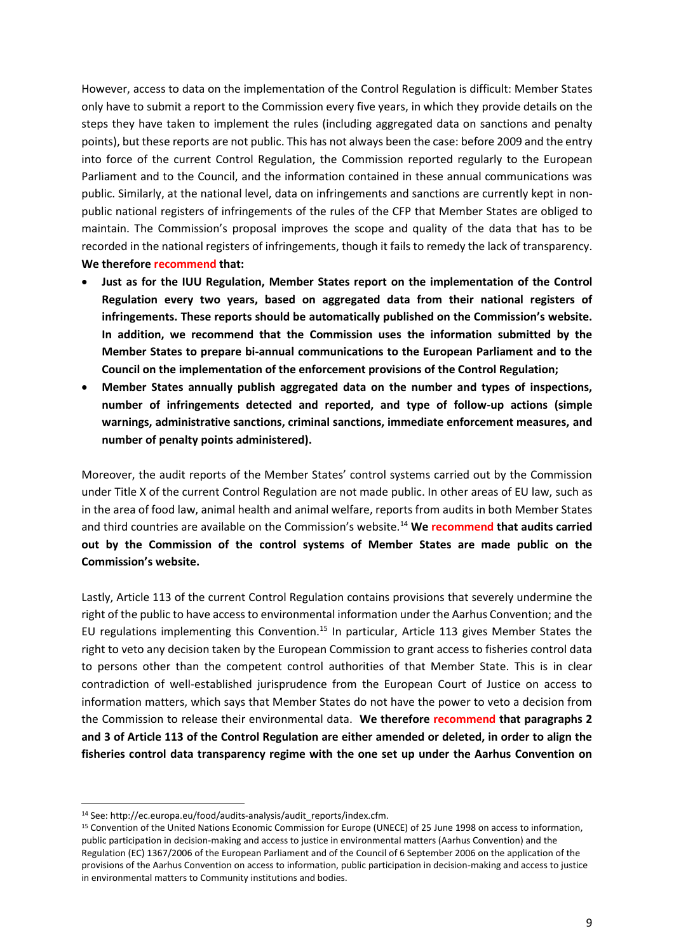However, access to data on the implementation of the Control Regulation is difficult: Member States only have to submit a report to the Commission every five years, in which they provide details on the steps they have taken to implement the rules (including aggregated data on sanctions and penalty points), but these reports are not public. This has not always been the case: before 2009 and the entry into force of the current Control Regulation, the Commission reported regularly to the European Parliament and to the Council, and the information contained in these annual communications was public. Similarly, at the national level, data on infringements and sanctions are currently kept in nonpublic national registers of infringements of the rules of the CFP that Member States are obliged to maintain. The Commission's proposal improves the scope and quality of the data that has to be recorded in the national registers of infringements, though it fails to remedy the lack of transparency. **We therefore recommend that:** 

- **Just as for the IUU Regulation, Member States report on the implementation of the Control Regulation every two years, based on aggregated data from their national registers of infringements. These reports should be automatically published on the Commission's website. In addition, we recommend that the Commission uses the information submitted by the Member States to prepare bi-annual communications to the European Parliament and to the Council on the implementation of the enforcement provisions of the Control Regulation;**
- **Member States annually publish aggregated data on the number and types of inspections, number of infringements detected and reported, and type of follow-up actions (simple warnings, administrative sanctions, criminal sanctions, immediate enforcement measures, and number of penalty points administered).**

Moreover, the audit reports of the Member States' control systems carried out by the Commission under Title X of the current Control Regulation are not made public. In other areas of EU law, such as in the area of food law, animal health and animal welfare, reports from audits in both Member States and third countries are available on the Commission's website.<sup>14</sup> **We recommend that audits carried out by the Commission of the control systems of Member States are made public on the Commission's website.** 

Lastly, Article 113 of the current Control Regulation contains provisions that severely undermine the right of the public to have access to environmental information under the Aarhus Convention; and the EU regulations implementing this Convention.<sup>15</sup> In particular, Article 113 gives Member States the right to veto any decision taken by the European Commission to grant access to fisheries control data to persons other than the competent control authorities of that Member State. This is in clear contradiction of well-established jurisprudence from the European Court of Justice on access to information matters, which says that Member States do not have the power to veto a decision from the Commission to release their environmental data. **We therefore recommend that paragraphs 2 and 3 of Article 113 of the Control Regulation are either amended or deleted, in order to align the fisheries control data transparency regime with the one set up under the Aarhus Convention on**

**.** 

<sup>14</sup> See: http://ec.europa.eu/food/audits-analysis/audit\_reports/index.cfm.

<sup>15</sup> Convention of the United Nations Economic Commission for Europe (UNECE) of 25 June 1998 on access to information, public participation in decision-making and access to justice in environmental matters (Aarhus Convention) and the Regulation (EC) 1367/2006 of the European Parliament and of the Council of 6 September 2006 on the application of the provisions of the Aarhus Convention on access to information, public participation in decision-making and access to justice in environmental matters to Community institutions and bodies.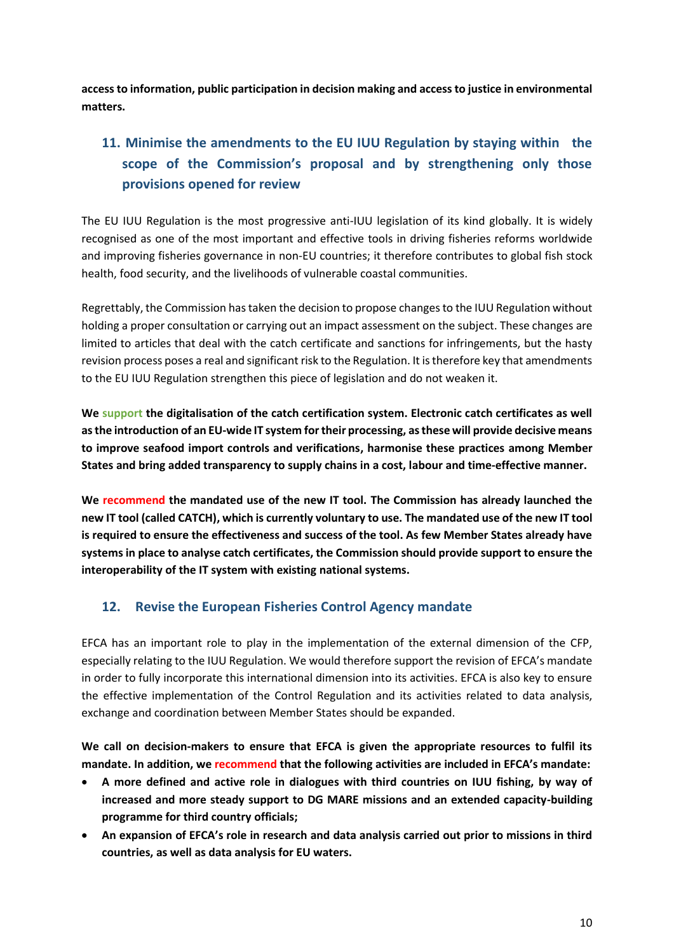**access to information, public participation in decision making and access to justice in environmental matters.**

# **11. Minimise the amendments to the EU IUU Regulation by staying within the scope of the Commission's proposal and by strengthening only those provisions opened for review**

The EU IUU Regulation is the most progressive anti-IUU legislation of its kind globally. It is widely recognised as one of the most important and effective tools in driving fisheries reforms worldwide and improving fisheries governance in non-EU countries; it therefore contributes to global fish stock health, food security, and the livelihoods of vulnerable coastal communities.

Regrettably, the Commission has taken the decision to propose changes to the IUU Regulation without holding a proper consultation or carrying out an impact assessment on the subject. These changes are limited to articles that deal with the catch certificate and sanctions for infringements, but the hasty revision process poses a real and significant risk to the Regulation. It is therefore key that amendments to the EU IUU Regulation strengthen this piece of legislation and do not weaken it.

**We support the digitalisation of the catch certification system. Electronic catch certificates as well as the introduction of an EU-wide IT system for their processing, as these will provide decisive means to improve seafood import controls and verifications, harmonise these practices among Member States and bring added transparency to supply chains in a cost, labour and time-effective manner.** 

**We recommend the mandated use of the new IT tool. The Commission has already launched the new IT tool (called CATCH), which is currently voluntary to use. The mandated use of the new IT tool is required to ensure the effectiveness and success of the tool. As few Member States already have systemsin place to analyse catch certificates, the Commission should provide support to ensure the interoperability of the IT system with existing national systems.**

## **12. Revise the European Fisheries Control Agency mandate**

EFCA has an important role to play in the implementation of the external dimension of the CFP, especially relating to the IUU Regulation. We would therefore support the revision of EFCA's mandate in order to fully incorporate this international dimension into its activities. EFCA is also key to ensure the effective implementation of the Control Regulation and its activities related to data analysis, exchange and coordination between Member States should be expanded.

**We call on decision-makers to ensure that EFCA is given the appropriate resources to fulfil its mandate. In addition, we recommend that the following activities are included in EFCA's mandate:**

- **A more defined and active role in dialogues with third countries on IUU fishing, by way of increased and more steady support to DG MARE missions and an extended capacity-building programme for third country officials;**
- **An expansion of EFCA's role in research and data analysis carried out prior to missions in third countries, as well as data analysis for EU waters.**